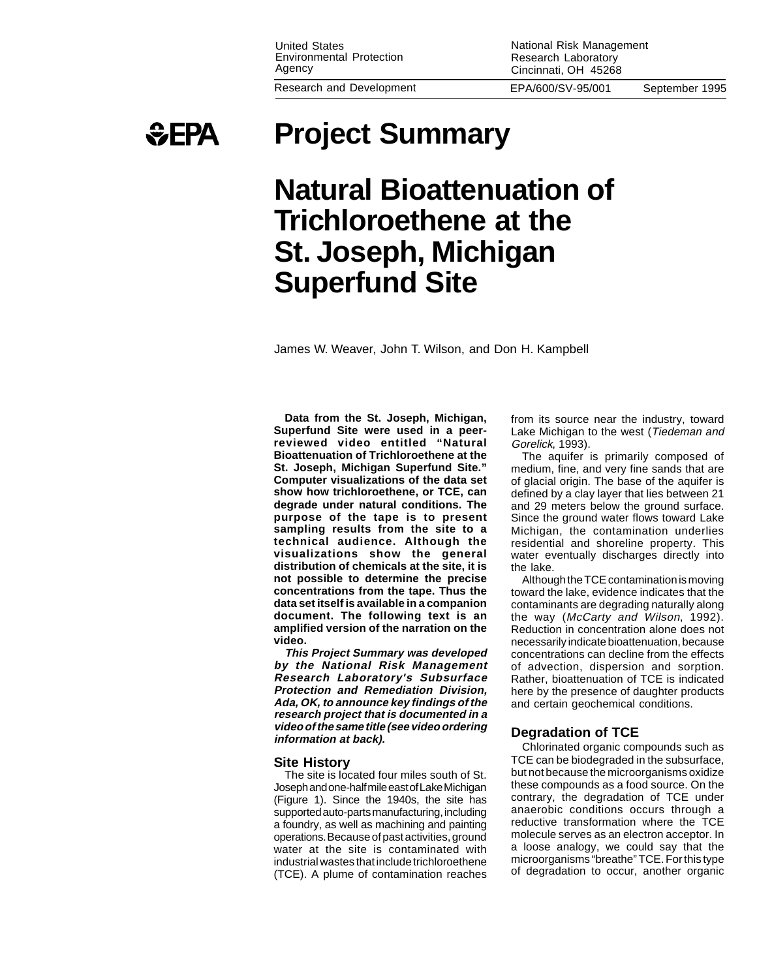National Risk Management Research Laboratory Cincinnati, OH 45268



# **Project Summary**

# **Natural Bioattenuation of Trichloroethene at the St. Joseph, Michigan Superfund Site**

James W. Weaver, John T. Wilson, and Don H. Kampbell

**Data from the St. Joseph, Michigan, Superfund Site were used in a peerreviewed video entitled "Natural Bioattenuation of Trichloroethene at the St. Joseph, Michigan Superfund Site." Computer visualizations of the data set show how trichloroethene, or TCE, can degrade under natural conditions. The purpose of the tape is to present sampling results from the site to a technical audience. Although the visualizations show the general distribution of chemicals at the site, it is not possible to determine the precise concentrations from the tape. Thus the data set itself is available in a companion document. The following text is an amplified version of the narration on the video.**

**This Project Summary was developed by the National Risk Management Research Laboratory's Subsurface Protection and Remediation Division, Ada, OK, to announce key findings of the research project that is documented in a video of the same title (see video ordering information at back).**

# **Site History**

The site is located four miles south of St. Joseph and one-half mile east of Lake Michigan (Figure 1). Since the 1940s, the site has supported auto-parts manufacturing, including a foundry, as well as machining and painting operations. Because of past activities, ground water at the site is contaminated with industrial wastes that include trichloroethene (TCE). A plume of contamination reaches from its source near the industry, toward Lake Michigan to the west (Tiedeman and Gorelick, 1993).

The aquifer is primarily composed of medium, fine, and very fine sands that are of glacial origin. The base of the aquifer is defined by a clay layer that lies between 21 and 29 meters below the ground surface. Since the ground water flows toward Lake Michigan, the contamination underlies residential and shoreline property. This water eventually discharges directly into the lake.

Although the TCE contamination is moving toward the lake, evidence indicates that the contaminants are degrading naturally along the way (McCarty and Wilson, 1992). Reduction in concentration alone does not necessarily indicate bioattenuation, because concentrations can decline from the effects of advection, dispersion and sorption. Rather, bioattenuation of TCE is indicated here by the presence of daughter products and certain geochemical conditions.

# **Degradation of TCE**

Chlorinated organic compounds such as TCE can be biodegraded in the subsurface, but not because the microorganisms oxidize these compounds as a food source. On the contrary, the degradation of TCE under anaerobic conditions occurs through a reductive transformation where the TCE molecule serves as an electron acceptor. In a loose analogy, we could say that the microorganisms "breathe" TCE. For this type of degradation to occur, another organic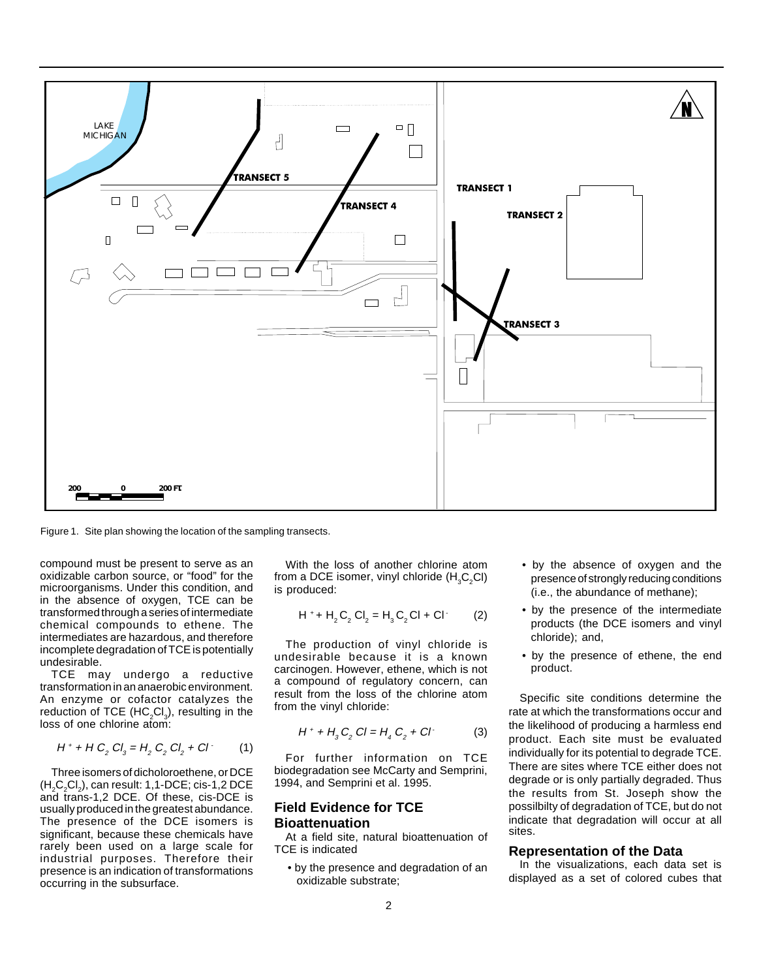

Figure 1. Site plan showing the location of the sampling transects.

compound must be present to serve as an oxidizable carbon source, or "food" for the microorganisms. Under this condition, and in the absence of oxygen, TCE can be transformed through a series of intermediate chemical compounds to ethene. The intermediates are hazardous, and therefore incomplete degradation of TCE is potentially undesirable.

TCE may undergo a reductive transformation in an anaerobic environment. An enzyme or cofactor catalyzes the reduction of TCE (HC<sub>2</sub>Cl<sub>3</sub>), resulting in the loss of one chlorine atom:

$$
H^+ + H C_2 C I_3 = H_2 C_2 C I_2 + C I \tag{1}
$$

Three isomers of dicholoroethene, or DCE  $(H_2C_2Cl_2)$ , can result: 1,1-DCE; cis-1,2 DCE and trans-1,2 DCE. Of these, cis-DCE is usually produced in the greatest abundance. The presence of the DCE isomers is significant, because these chemicals have rarely been used on a large scale for industrial purposes. Therefore their presence is an indication of transformations occurring in the subsurface.

With the loss of another chlorine atom from a DCE isomer, vinyl chloride (H $_{3}$ C<sub>2</sub>Cl) is produced:

$$
H^+ + H_2 C_2 Cl_2 = H_3 C_2 Cl + Cl
$$
 (2)

The production of vinyl chloride is undesirable because it is a known carcinogen. However, ethene, which is not a compound of regulatory concern, can result from the loss of the chlorine atom from the vinyl chloride:

$$
H^+ + H_3 C_2 Cl = H_4 C_2 + Cl \tag{3}
$$

For further information on TCE biodegradation see McCarty and Semprini, 1994, and Semprini et al. 1995.

# **Field Evidence for TCE Bioattenuation**

At a field site, natural bioattenuation of TCE is indicated

• by the presence and degradation of an oxidizable substrate;

- by the absence of oxygen and the presence of strongly reducing conditions (i.e., the abundance of methane);
- by the presence of the intermediate products (the DCE isomers and vinyl chloride); and,
- by the presence of ethene, the end product.

Specific site conditions determine the rate at which the transformations occur and the likelihood of producing a harmless end product. Each site must be evaluated individually for its potential to degrade TCE. There are sites where TCE either does not degrade or is only partially degraded. Thus the results from St. Joseph show the possilbilty of degradation of TCE, but do not indicate that degradation will occur at all sites.

#### **Representation of the Data**

In the visualizations, each data set is displayed as a set of colored cubes that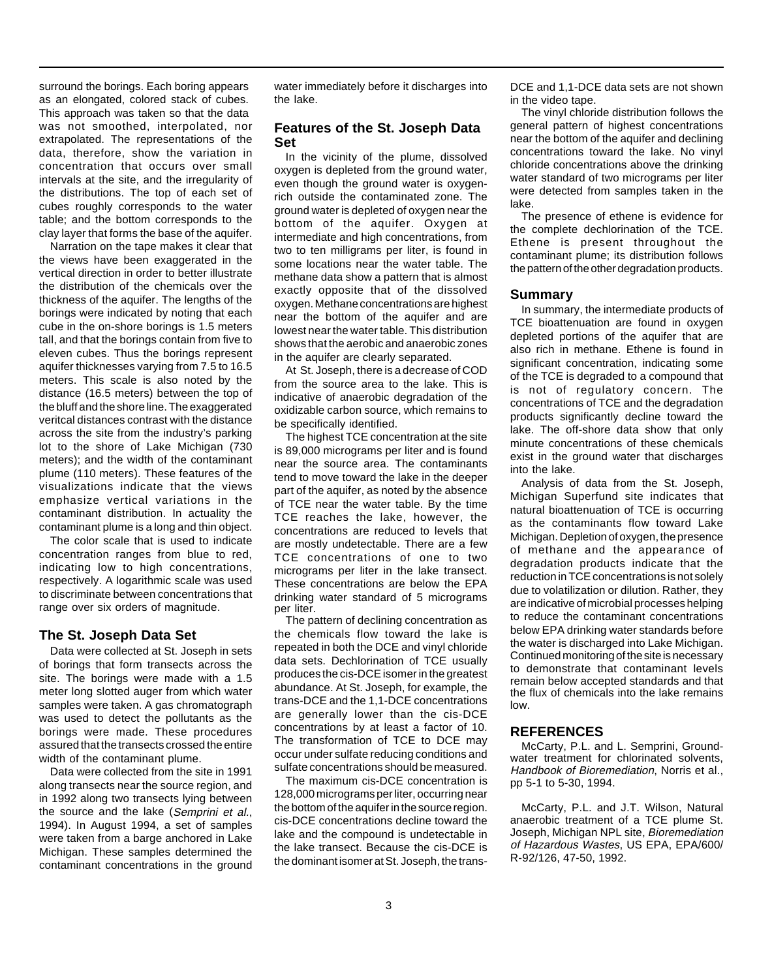surround the borings. Each boring appears as an elongated, colored stack of cubes. This approach was taken so that the data was not smoothed, interpolated, nor extrapolated. The representations of the data, therefore, show the variation in concentration that occurs over small intervals at the site, and the irregularity of the distributions. The top of each set of cubes roughly corresponds to the water table; and the bottom corresponds to the clay layer that forms the base of the aquifer.

Narration on the tape makes it clear that the views have been exaggerated in the vertical direction in order to better illustrate the distribution of the chemicals over the thickness of the aquifer. The lengths of the borings were indicated by noting that each cube in the on-shore borings is 1.5 meters tall, and that the borings contain from five to eleven cubes. Thus the borings represent aquifer thicknesses varying from 7.5 to 16.5 meters. This scale is also noted by the distance (16.5 meters) between the top of the bluff and the shore line. The exaggerated veritcal distances contrast with the distance across the site from the industry's parking lot to the shore of Lake Michigan (730 meters); and the width of the contaminant plume (110 meters). These features of the visualizations indicate that the views emphasize vertical variations in the contaminant distribution. In actuality the contaminant plume is a long and thin object.

The color scale that is used to indicate concentration ranges from blue to red, indicating low to high concentrations, respectively. A logarithmic scale was used to discriminate between concentrations that range over six orders of magnitude.

# **The St. Joseph Data Set**

Data were collected at St. Joseph in sets of borings that form transects across the site. The borings were made with a 1.5 meter long slotted auger from which water samples were taken. A gas chromatograph was used to detect the pollutants as the borings were made. These procedures assured that the transects crossed the entire width of the contaminant plume.

Data were collected from the site in 1991 along transects near the source region, and in 1992 along two transects lying between the source and the lake (Semprini et al., 1994). In August 1994, a set of samples were taken from a barge anchored in Lake Michigan. These samples determined the contaminant concentrations in the ground water immediately before it discharges into the lake.

# **Features of the St. Joseph Data Set**

In the vicinity of the plume, dissolved oxygen is depleted from the ground water, even though the ground water is oxygenrich outside the contaminated zone. The ground water is depleted of oxygen near the bottom of the aquifer. Oxygen at intermediate and high concentrations, from two to ten milligrams per liter, is found in some locations near the water table. The methane data show a pattern that is almost exactly opposite that of the dissolved oxygen. Methane concentrations are highest near the bottom of the aquifer and are lowest near the water table. This distribution shows that the aerobic and anaerobic zones in the aquifer are clearly separated.

At St. Joseph, there is a decrease of COD from the source area to the lake. This is indicative of anaerobic degradation of the oxidizable carbon source, which remains to be specifically identified.

The highest TCE concentration at the site is 89,000 micrograms per liter and is found near the source area. The contaminants tend to move toward the lake in the deeper part of the aquifer, as noted by the absence of TCE near the water table. By the time TCE reaches the lake, however, the concentrations are reduced to levels that are mostly undetectable. There are a few TCE concentrations of one to two micrograms per liter in the lake transect. These concentrations are below the EPA drinking water standard of 5 micrograms per liter.

The pattern of declining concentration as the chemicals flow toward the lake is repeated in both the DCE and vinyl chloride data sets. Dechlorination of TCE usually produces the cis-DCE isomer in the greatest abundance. At St. Joseph, for example, the trans-DCE and the 1,1-DCE concentrations are generally lower than the cis-DCE concentrations by at least a factor of 10. The transformation of TCE to DCE may occur under sulfate reducing conditions and sulfate concentrations should be measured.

The maximum cis-DCE concentration is 128,000 micrograms per liter, occurring near the bottom of the aquifer in the source region. cis-DCE concentrations decline toward the lake and the compound is undetectable in the lake transect. Because the cis-DCE is the dominant isomer at St. Joseph, the transDCE and 1,1-DCE data sets are not shown in the video tape.

The vinyl chloride distribution follows the general pattern of highest concentrations near the bottom of the aquifer and declining concentrations toward the lake. No vinyl chloride concentrations above the drinking water standard of two micrograms per liter were detected from samples taken in the lake.

The presence of ethene is evidence for the complete dechlorination of the TCE. Ethene is present throughout the contaminant plume; its distribution follows the pattern of the other degradation products.

# **Summary**

In summary, the intermediate products of TCE bioattenuation are found in oxygen depleted portions of the aquifer that are also rich in methane. Ethene is found in significant concentration, indicating some of the TCE is degraded to a compound that is not of regulatory concern. The concentrations of TCE and the degradation products significantly decline toward the lake. The off-shore data show that only minute concentrations of these chemicals exist in the ground water that discharges into the lake.

Analysis of data from the St. Joseph, Michigan Superfund site indicates that natural bioattenuation of TCE is occurring as the contaminants flow toward Lake Michigan. Depletion of oxygen, the presence of methane and the appearance of degradation products indicate that the reduction in TCE concentrations is not solely due to volatilization or dilution. Rather, they are indicative of microbial processes helping to reduce the contaminant concentrations below EPA drinking water standards before the water is discharged into Lake Michigan. Continued monitoring of the site is necessary to demonstrate that contaminant levels remain below accepted standards and that the flux of chemicals into the lake remains low.

#### **REFERENCES**

McCarty, P.L. and L. Semprini, Groundwater treatment for chlorinated solvents, Handbook of Bioremediation, Norris et al., pp 5-1 to 5-30, 1994.

McCarty, P.L. and J.T. Wilson, Natural anaerobic treatment of a TCE plume St. Joseph, Michigan NPL site, Bioremediation of Hazardous Wastes, US EPA, EPA/600/ R-92/126, 47-50, 1992.